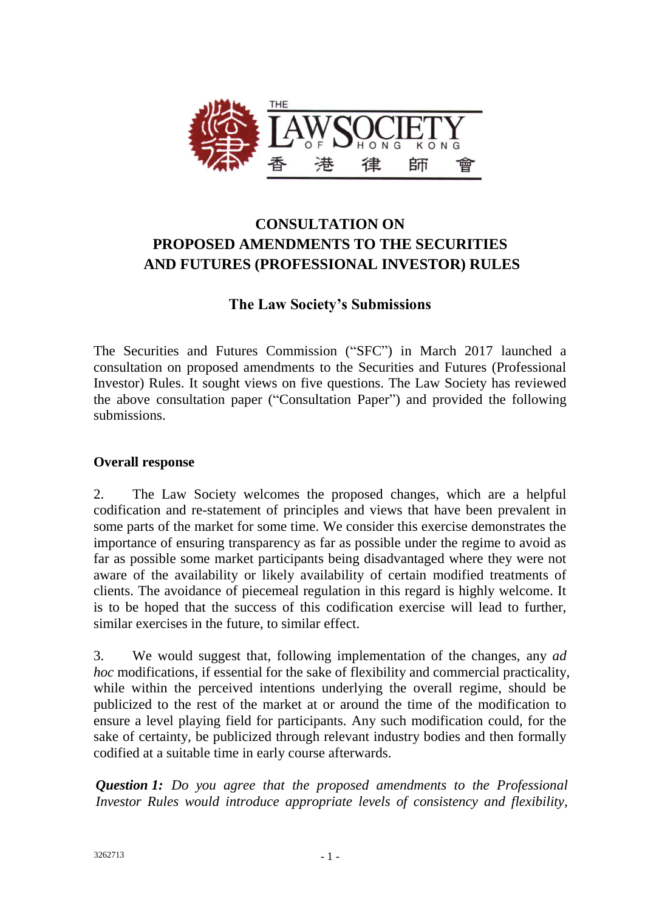

# **CONSULTATION ON PROPOSED AMENDMENTS TO THE SECURITIES AND FUTURES (PROFESSIONAL INVESTOR) RULES**

# **The Law Society's Submissions**

The Securities and Futures Commission ("SFC") in March 2017 launched a [consultation](http://www.sfc.hk/edistributionWeb/gateway/EN/consultation/doc?refNo=17CP1) on proposed amendments to the Securities and Futures (Professional Investor) Rules. It sought views on five questions. The Law Society has reviewed the above consultation paper ("Consultation Paper") and provided the following submissions.

### **Overall response**

2. The Law Society welcomes the proposed changes, which are a helpful codification and re-statement of principles and views that have been prevalent in some parts of the market for some time. We consider this exercise demonstrates the importance of ensuring transparency as far as possible under the regime to avoid as far as possible some market participants being disadvantaged where they were not aware of the availability or likely availability of certain modified treatments of clients. The avoidance of piecemeal regulation in this regard is highly welcome. It is to be hoped that the success of this codification exercise will lead to further, similar exercises in the future, to similar effect.

3. We would suggest that, following implementation of the changes, any *ad hoc* modifications, if essential for the sake of flexibility and commercial practicality, while within the perceived intentions underlying the overall regime, should be publicized to the rest of the market at or around the time of the modification to ensure a level playing field for participants. Any such modification could, for the sake of certainty, be publicized through relevant industry bodies and then formally codified at a suitable time in early course afterwards.

*Question 1: Do you agree that the proposed amendments to the Professional Investor Rules would introduce appropriate levels of consistency and flexibility,*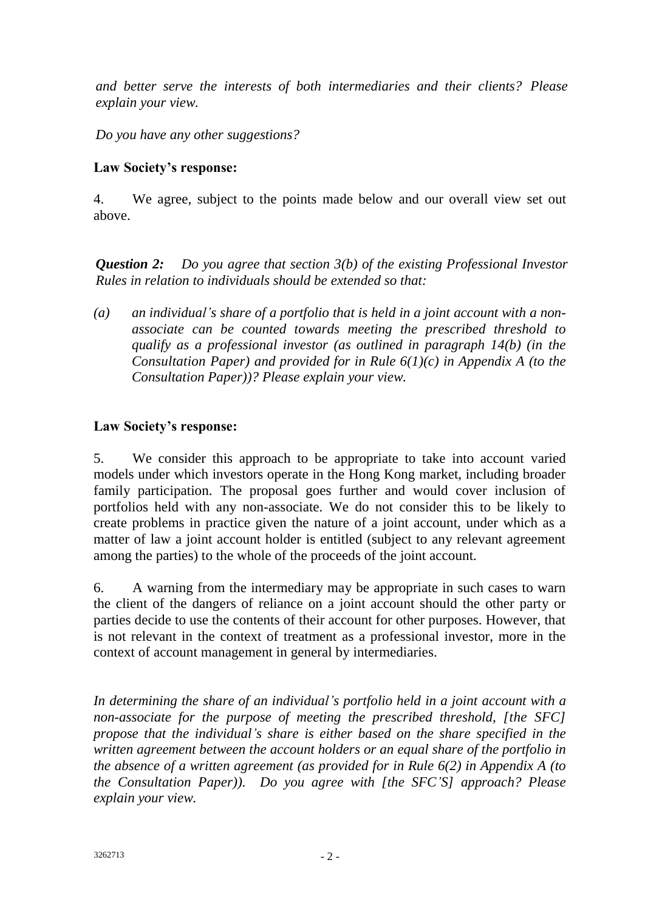*and better serve the interests of both intermediaries and their clients? Please explain your view.*

*Do you have any other suggestions?*

### **Law Society's response:**

4. We agree, subject to the points made below and our overall view set out above.

*Question 2: Do you agree that section 3(b) of the existing Professional Investor Rules in relation to individuals should be extended so that:*

*(a) an individual's share of a portfolio that is held in a joint account with a nonassociate can be counted towards meeting the prescribed threshold to qualify as a professional investor (as outlined in paragraph 14(b) (in the Consultation Paper) and provided for in Rule 6(1)(c) in Appendix A (to the Consultation Paper))? Please explain your view.*

### **Law Society's response:**

5. We consider this approach to be appropriate to take into account varied models under which investors operate in the Hong Kong market, including broader family participation. The proposal goes further and would cover inclusion of portfolios held with any non-associate. We do not consider this to be likely to create problems in practice given the nature of a joint account, under which as a matter of law a joint account holder is entitled (subject to any relevant agreement among the parties) to the whole of the proceeds of the joint account.

6. A warning from the intermediary may be appropriate in such cases to warn the client of the dangers of reliance on a joint account should the other party or parties decide to use the contents of their account for other purposes. However, that is not relevant in the context of treatment as a professional investor, more in the context of account management in general by intermediaries.

*In determining the share of an individual's portfolio held in a joint account with a non-associate for the purpose of meeting the prescribed threshold, [the SFC] propose that the individual's share is either based on the share specified in the written agreement between the account holders or an equal share of the portfolio in the absence of a written agreement (as provided for in Rule 6(2) in Appendix A (to the Consultation Paper)). Do you agree with [the SFC'S] approach? Please explain your view.*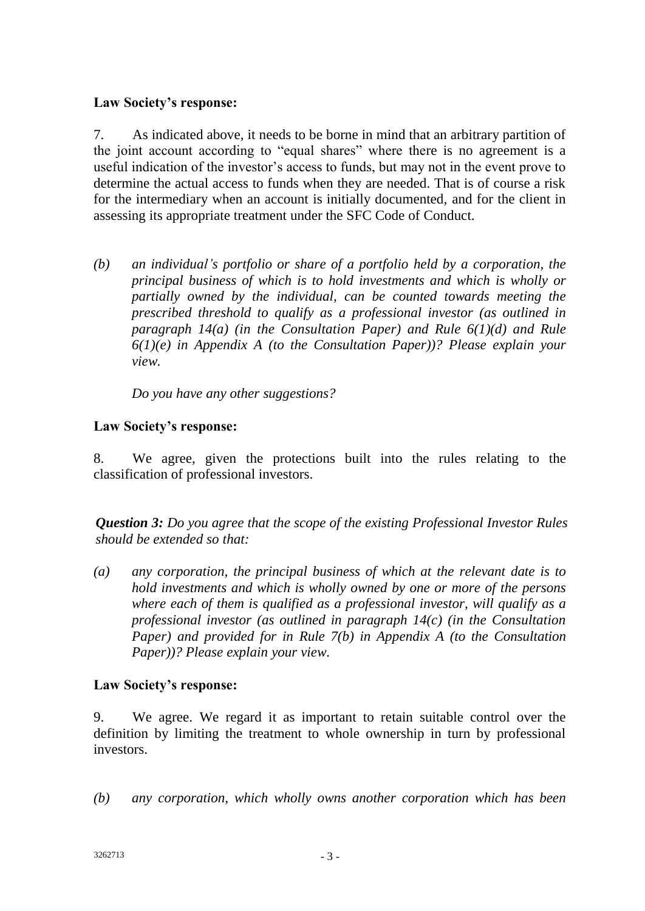### **Law Society's response:**

7. As indicated above, it needs to be borne in mind that an arbitrary partition of the joint account according to "equal shares" where there is no agreement is a useful indication of the investor's access to funds, but may not in the event prove to determine the actual access to funds when they are needed. That is of course a risk for the intermediary when an account is initially documented, and for the client in assessing its appropriate treatment under the SFC Code of Conduct.

*(b) an individual's portfolio or share of a portfolio held by a corporation, the principal business of which is to hold investments and which is wholly or partially owned by the individual, can be counted towards meeting the prescribed threshold to qualify as a professional investor (as outlined in paragraph 14(a) (in the Consultation Paper) and Rule 6(1)(d) and Rule 6(1)(e) in Appendix A (to the Consultation Paper))? Please explain your view.*

*Do you have any other suggestions?*

# **Law Society's response:**

8. We agree, given the protections built into the rules relating to the classification of professional investors.

*Question 3: Do you agree that the scope of the existing Professional Investor Rules should be extended so that:*

*(a) any corporation, the principal business of which at the relevant date is to hold investments and which is wholly owned by one or more of the persons where each of them is qualified as a professional investor, will qualify as a professional investor (as outlined in paragraph 14(c) (in the Consultation Paper) and provided for in Rule 7(b) in Appendix A (to the Consultation Paper))? Please explain your view.*

#### **Law Society's response:**

9. We agree. We regard it as important to retain suitable control over the definition by limiting the treatment to whole ownership in turn by professional investors.

*(b) any corporation, which wholly owns another corporation which has been*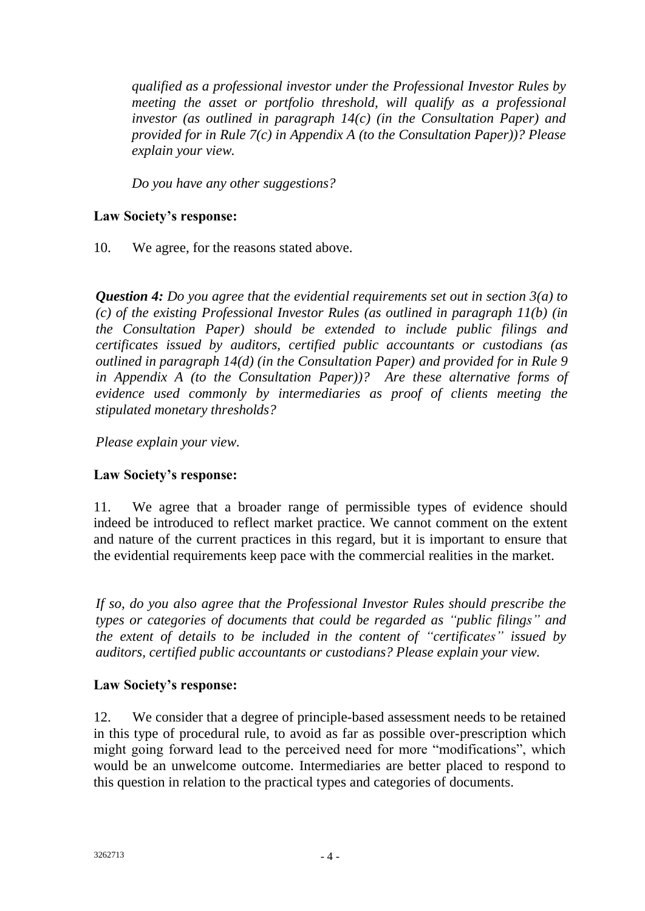*qualified as a professional investor under the Professional Investor Rules by meeting the asset or portfolio threshold, will qualify as a professional investor (as outlined in paragraph 14(c) (in the Consultation Paper) and provided for in Rule 7(c) in Appendix A (to the Consultation Paper))? Please explain your view.*

*Do you have any other suggestions?*

# **Law Society's response:**

10. We agree, for the reasons stated above.

*Question 4: Do you agree that the evidential requirements set out in section 3(a) to (c) of the existing Professional Investor Rules (as outlined in paragraph 11(b) (in the Consultation Paper) should be extended to include public filings and certificates issued by auditors, certified public accountants or custodians (as outlined in paragraph 14(d) (in the Consultation Paper) and provided for in Rule 9 in Appendix A (to the Consultation Paper))? Are these alternative forms of evidence used commonly by intermediaries as proof of clients meeting the stipulated monetary thresholds?*

*Please explain your view.*

# **Law Society's response:**

11. We agree that a broader range of permissible types of evidence should indeed be introduced to reflect market practice. We cannot comment on the extent and nature of the current practices in this regard, but it is important to ensure that the evidential requirements keep pace with the commercial realities in the market.

*If so, do you also agree that the Professional Investor Rules should prescribe the types or categories of documents that could be regarded as "public filings" and the extent of details to be included in the content of "certificates" issued by auditors, certified public accountants or custodians? Please explain your view.*

#### **Law Society's response:**

12. We consider that a degree of principle-based assessment needs to be retained in this type of procedural rule, to avoid as far as possible over-prescription which might going forward lead to the perceived need for more "modifications", which would be an unwelcome outcome. Intermediaries are better placed to respond to this question in relation to the practical types and categories of documents.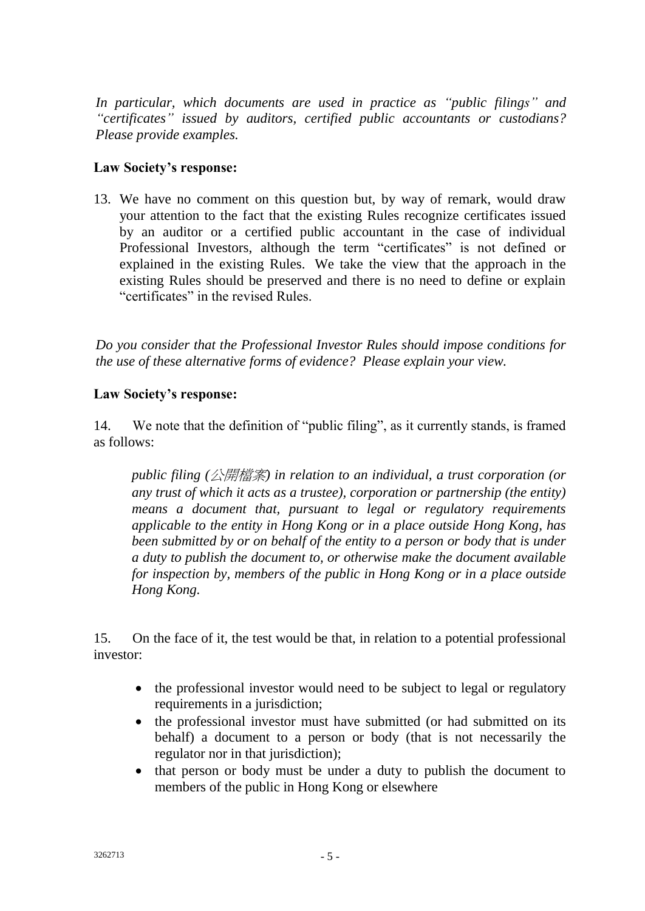*In particular, which documents are used in practice as "public filings" and "certificates" issued by auditors, certified public accountants or custodians? Please provide examples.*

### **Law Society's response:**

13. We have no comment on this question but, by way of remark, would draw your attention to the fact that the existing Rules recognize certificates issued by an auditor or a certified public accountant in the case of individual Professional Investors, although the term "certificates" is not defined or explained in the existing Rules. We take the view that the approach in the existing Rules should be preserved and there is no need to define or explain "certificates" in the revised Rules.

*Do you consider that the Professional Investor Rules should impose conditions for the use of these alternative forms of evidence? Please explain your view.*

#### **Law Society's response:**

14. We note that the definition of "public filing", as it currently stands, is framed as follows:

*public filing (*公開檔案*) in relation to an individual, a trust corporation (or any trust of which it acts as a trustee), corporation or partnership (the entity) means a document that, pursuant to legal or regulatory requirements applicable to the entity in Hong Kong or in a place outside Hong Kong, has been submitted by or on behalf of the entity to a person or body that is under a duty to publish the document to, or otherwise make the document available for inspection by, members of the public in Hong Kong or in a place outside Hong Kong.*

15. On the face of it, the test would be that, in relation to a potential professional investor:

- the professional investor would need to be subject to legal or regulatory requirements in a jurisdiction;
- the professional investor must have submitted (or had submitted on its behalf) a document to a person or body (that is not necessarily the regulator nor in that jurisdiction);
- that person or body must be under a duty to publish the document to members of the public in Hong Kong or elsewhere